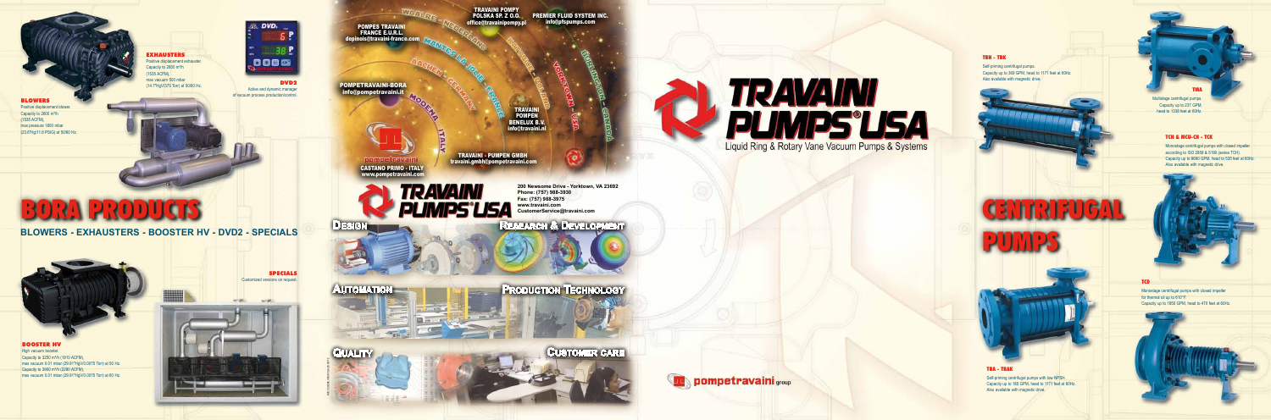POMPES TRAVAINI<br>FRANCE E.U.R.L.<br>depinois@travaini-france<br>COMPETRAVAINI-BORA<br>info@pompetravaini.it pinois@travaini-france.com

POMPETRAVAINI-BO

# **BLOWERS - EXHAUSTERS - BOOSTER HV - DVD2 - SPECIALS**

**EXHAUSTERS** Positive displacement exhauster.

Capacity to 2600 m<sup>3</sup>/h 1535 ACFM), max vacuum 500 mbar (14.7"HgV/375 Torr) at 50/60 Hz.



BLOWERS

Positive displacement blower. Capacity to 2600 m<sup>3</sup>/h (1535 ACFM),

max pressure 1800 mbar (23.6"Hg/11.6 PSIG) at 50/60 Hz.

> SPECIALS Customized versions on request.

DVD<sub>2</sub>

**138 P** 

CUSTOMER CARE **r**



**Design pompetravaini** group

**TRAVAINI**<br>PUNIPS'USA

Liquid Ring & Rotary Vane Vacuum Pumps & Systems

BOOSTER HV High vacuum booster. Capacity to  $3250 \text{ m}^3$ /h (1910 ACFM), max vacuum 0.01 mbar (29.91"HgV/0.0075 Torr) at 50 Hz. Capacity to 3900 m<sup>3</sup>/h (2290 ACFM), max vacuum 0.01 mbar (29.91"HgV/0.0075 Torr) at 60 Hz.

TRAVAINI POMPY POLSKA SP. Z O.O. office@travainipompy.p

TRAVAINI - PU M PEN G MBH TRAVAINI<br>POMPEN<br>BENELUX B.<br>info@travaini.com<br>travaini.gmbh@pompetravaini.com



**PREMIER FLUID SYSTEM INC.** info@pfspumps.com

**BENELUX B.V.**<br>Info@travaini.n **D.O.** PREMIER FLU<br>
ompy.pl<br>
info@pfs<br>
and the state of the state of the state of the state of the state of the state of the state of the state of the state of the state of the state of the state of the state of the state

Active and dynamic manager of vacuum process production/control.

 $1000$   $\alpha$ 





**Automation**

NUS.CC.GENE.USA0/CS.LA/ZS.UO/TZ





**200 Newsome Drive - Yorktown, VA 23692 Phone: (757) 988-3930 Fax: (757) 988-3975 www.travaini.com CustomerService@travaini.com**

# **RESEARCH & DEVELOPMENT**

C A STANO PRIMO - ITALY www.pompetravaini.com

NUS.CC.GENE.USA0/CS.LA/ZS.UO/TZ

CENTRIFUGAL

PUMPS

### TCD

Monostage centrifugal pumps with closed impeller for thermal oil up to 610°F. Capacity up to 1850 GPM, head to 470 feet at 60Hz.



# TMA

Multistage centrifugal pumps. Capacity up to 237 GPM, head to 1338 feet at 60Hz.

# TBA - TBAK

Self-priming centrifugal pumps with low NPSH. Capacity up to 185 GPM, head to 1171 feet at 60Hz. Also available with magnetic drive.

# TBH - TBK

Self-priming centrifugal pumps. Capacity up to 369 GPM, head to 1171 feet at 60Hz. Also available with magnetic drive.

# TCH & MCU-CH - TCK

Monostage centrifugal pumps with closed impeller according to ISO 2858 & 5199 (series TCH). Capacity up to 9690 GPM, head to 535 feet at 60Hz. Also available with magnetic drive.



# BORA PRODUCTS